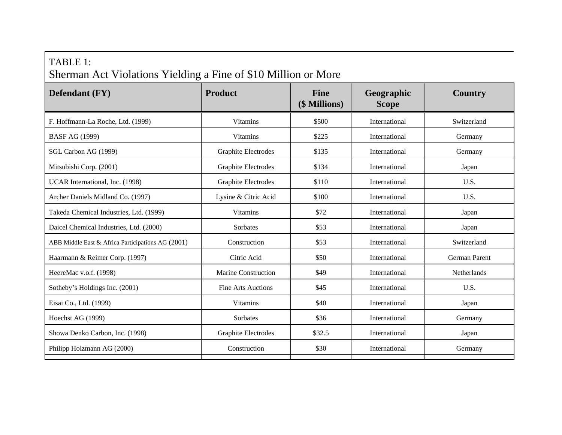## TABLE 1: Sherman Act Violations Yielding a Fine of \$10 Million or More

| <b>Defendant</b> (FY)                             | <b>Product</b>             | <b>Fine</b><br>(\$ Millions) | Geographic<br><b>Scope</b> | <b>Country</b>     |
|---------------------------------------------------|----------------------------|------------------------------|----------------------------|--------------------|
| F. Hoffmann-La Roche, Ltd. (1999)                 | Vitamins                   | \$500                        | International              | Switzerland        |
| <b>BASF AG (1999)</b>                             | <b>Vitamins</b>            | \$225                        | International              | Germany            |
| SGL Carbon AG (1999)                              | <b>Graphite Electrodes</b> | \$135                        | International              | Germany            |
| Mitsubishi Corp. (2001)                           | Graphite Electrodes        | \$134                        | International              | Japan              |
| UCAR International, Inc. (1998)                   | Graphite Electrodes        | \$110                        | International              | U.S.               |
| Archer Daniels Midland Co. (1997)                 | Lysine & Citric Acid       | \$100                        | International              | U.S.               |
| Takeda Chemical Industries, Ltd. (1999)           | <b>Vitamins</b>            | \$72                         | International              | Japan              |
| Daicel Chemical Industries, Ltd. (2000)           | Sorbates                   | \$53                         | International              | Japan              |
| ABB Middle East & Africa Participations AG (2001) | Construction               | \$53                         | International              | Switzerland        |
| Haarmann & Reimer Corp. (1997)                    | Citric Acid                | \$50                         | International              | German Parent      |
| HeereMac v.o.f. (1998)                            | Marine Construction        | \$49                         | International              | <b>Netherlands</b> |
| Sotheby's Holdings Inc. (2001)                    | <b>Fine Arts Auctions</b>  | \$45                         | International              | U.S.               |
| Eisai Co., Ltd. (1999)                            | <b>Vitamins</b>            | \$40                         | International              | Japan              |
| Hoechst AG (1999)                                 | Sorbates                   | \$36                         | International              | Germany            |
| Showa Denko Carbon, Inc. (1998)                   | Graphite Electrodes        | \$32.5                       | International              | Japan              |
| Philipp Holzmann AG (2000)                        | Construction               | \$30                         | International              | Germany            |